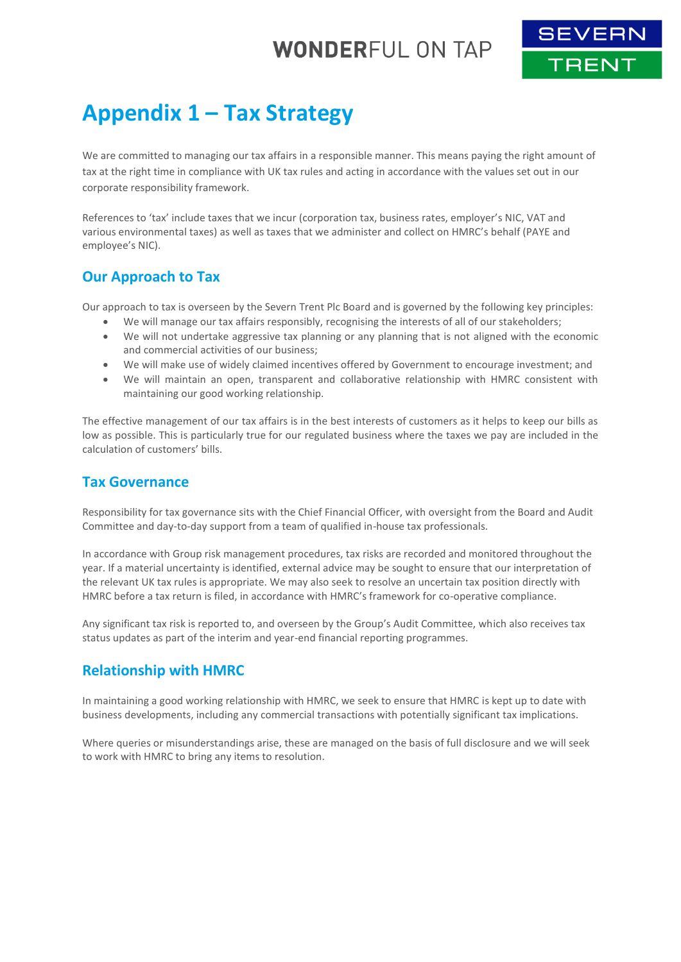# **WONDERFUL ON TAP**



# **Appendix 1 – Tax Strategy**

We are committed to managing our tax affairs in a responsible manner. This means paying the right amount of tax at the right time in compliance with UK tax rules and acting in accordance with the values set out in our corporate responsibility framework.

References to 'tax' include taxes that we incur (corporation tax, business rates, employer's NIC, VAT and various environmental taxes) as well as taxes that we administer and collect on HMRC's behalf (PAYE and employee's NIC).

### **Our Approach to Tax**

Our approach to tax is overseen by the Severn Trent Plc Board and is governed by the following key principles:

- We will manage our tax affairs responsibly, recognising the interests of all of our stakeholders;
- We will not undertake aggressive tax planning or any planning that is not aligned with the economic and commercial activities of our business;
- We will make use of widely claimed incentives offered by Government to encourage investment; and
- We will maintain an open, transparent and collaborative relationship with HMRC consistent with maintaining our good working relationship.

The effective management of our tax affairs is in the best interests of customers as it helps to keep our bills as low as possible. This is particularly true for our regulated business where the taxes we pay are included in the calculation of customers' bills.

#### **Tax Governance**

Responsibility for tax governance sits with the Chief Financial Officer, with oversight from the Board and Audit Committee and day-to-day support from a team of qualified in-house tax professionals.

In accordance with Group risk management procedures, tax risks are recorded and monitored throughout the year. If a material uncertainty is identified, external advice may be sought to ensure that our interpretation of the relevant UK tax rules is appropriate. We may also seek to resolve an uncertain tax position directly with HMRC before a tax return is filed, in accordance with HMRC's framework for co-operative compliance.

Any significant tax risk is reported to, and overseen by the Group's Audit Committee, which also receives tax status updates as part of the interim and year-end financial reporting programmes.

#### **Relationship with HMRC**

In maintaining a good working relationship with HMRC, we seek to ensure that HMRC is kept up to date with business developments, including any commercial transactions with potentially significant tax implications.

Where queries or misunderstandings arise, these are managed on the basis of full disclosure and we will seek to work with HMRC to bring any items to resolution.